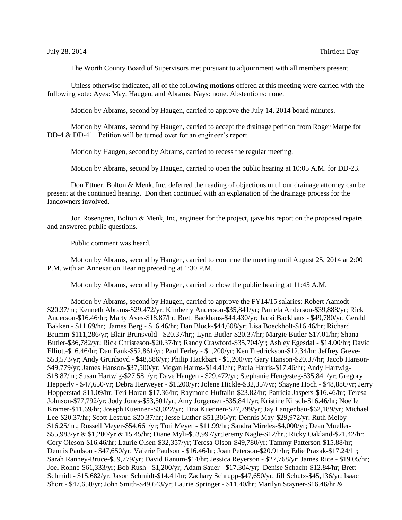The Worth County Board of Supervisors met pursuant to adjournment with all members present.

Unless otherwise indicated, all of the following **motions** offered at this meeting were carried with the following vote: Ayes: May, Haugen, and Abrams. Nays: none. Abstentions: none.

Motion by Abrams, second by Haugen, carried to approve the July 14, 2014 board minutes.

Motion by Abrams, second by Haugen, carried to accept the drainage petition from Roger Marpe for DD-4 & DD-41. Petition will be turned over for an engineer's report.

Motion by Haugen, second by Abrams, carried to recess the regular meeting.

Motion by Abrams, second by Haugen, carried to open the public hearing at 10:05 A.M. for DD-23.

Don Ettner, Bolton & Menk, Inc. deferred the reading of objections until our drainage attorney can be present at the continued hearing. Don then continued with an explanation of the drainage process for the landowners involved.

Jon Rosengren, Bolton & Menk, Inc, engineer for the project, gave his report on the proposed repairs and answered public questions.

Public comment was heard.

Motion by Abrams, second by Haugen, carried to continue the meeting until August 25, 2014 at 2:00 P.M. with an Annexation Hearing preceding at 1:30 P.M.

Motion by Abrams, second by Haugen, carried to close the public hearing at 11:45 A.M.

Motion by Abrams, second by Haugen, carried to approve the FY14/15 salaries: Robert Aamodt- \$20.37/hr; Kenneth Abrams-\$29,472/yr; Kimberly Anderson-\$35,841/yr; Pamela Anderson-\$39,888/yr; Rick Anderson-\$16.46/hr; Marty Aves-\$18.87/hr; Brett Backhaus-\$44,430/yr; Jacki Backhaus - \$49,780/yr; Gerald Bakken - \$11.69/hr; James Berg - \$16.46/hr; Dan Block-\$44,608/yr; Lisa Boeckholt-\$16.46/hr; Richard Brumm-\$111,286/yr; Blair Brunsvold - \$20.37/hr;; Lynn Butler-\$20.37/hr; Margie Butler-\$17.01/hr; Shana Butler-\$36,782/yr; Rick Christeson-\$20.37/hr; Randy Crawford-\$35,704/yr; Ashley Egesdal - \$14.00/hr; David Elliott-\$16.46/hr; Dan Fank-\$52,861/yr; Paul Ferley - \$1,200/yr; Ken Fredrickson-\$12.34/hr; Jeffrey Greve- \$53,573/yr; Andy Grunhovd - \$48,886/yr; Philip Hackbart - \$1,200/yr; Gary Hanson-\$20.37/hr; Jacob Hanson- \$49,779/yr; James Hanson-\$37,500/yr; Megan Harms-\$14.41/hr; Paula Harris-\$17.46/hr; Andy Hartwig- \$18.87/hr; Susan Hartwig-\$27,581/yr; Dave Haugen - \$29,472/yr; Stephanie Hengesteg-\$35,841/yr; Gregory Hepperly - \$47,650/yr; Debra Herweyer - \$1,200/yr; Jolene Hickle-\$32,357/yr; Shayne Hoch - \$48,886/yr; Jerry Hopperstad-\$11.09/hr; Teri Horan-\$17.36/hr; Raymond Huftalin-\$23.82/hr; Patricia Jaspers-\$16.46/hr; Teresa Johnson-\$77,792/yr; Jody Jones-\$53,501/yr; Amy Jorgensen-\$35,841/yr; Kristine Kirsch-\$16.46/hr; Noelle Kramer-\$11.69/hr; Joseph Kuennen-\$3,022/yr; Tina Kuennen-\$27,799/yr; Jay Langenbau-\$62,189/yr; Michael Lee-\$20.37/hr; Scott Lestrud-\$20.37/hr; Jesse Luther-\$51,306/yr; Dennis May-\$29,972/yr; Ruth Melby- \$16.25/hr.; Russell Meyer-\$54,661/yr; Tori Meyer - \$11.99/hr; Sandra Mireles-\$4,000/yr; Dean Mueller- \$55,983/yr & \$1,200/yr & 15.45/hr; Diane Myli-\$53,997/yr;Jeremy Nagle-\$12/hr.; Ricky Oakland-\$21.42/hr; Cory Oleson-\$16.46/hr; Laurie Olsen-\$32,357/yr; Teresa Olson-\$49,780/yr; Tammy Patterson-\$15.88/hr; Dennis Paulson - \$47,650/yr; Valerie Paulson - \$16.46/hr; Joan Peterson-\$20.91/hr; Edie Prazak-\$17.24/hr; Sarah Ranney-Bruce-\$59,779/yr; David Ranum-\$14/hr; Jessica Reyerson - \$27,768/yr; James Rice - \$19.05/hr; Joel Rohne-\$61,333/yr; Bob Rush - \$1,200/yr; Adam Sauer - \$17,304/yr; Denise Schacht-\$12.84/hr; Brett Schmidt - \$15,682/yr; Jason Schmidt-\$14.41/hr; Zachary Schrupp-\$47,650/yr; Jill Schutz-\$45,136/yr; Isaac Short - \$47,650/yr; John Smith-\$49,643/yr; Laurie Springer - \$11.40/hr; Marilyn Stayner-\$16.46/hr &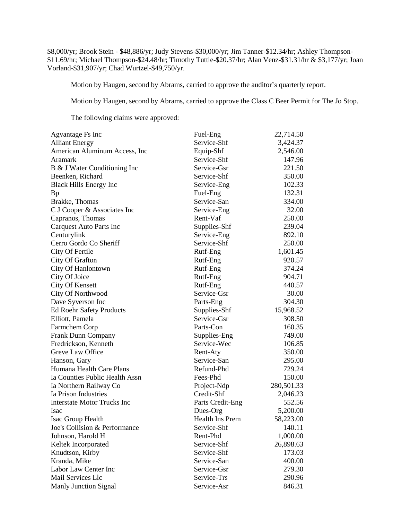\$8,000/yr; Brook Stein - \$48,886/yr; Judy Stevens-\$30,000/yr; Jim Tanner-\$12.34/hr; Ashley Thompson- \$11.69/hr; Michael Thompson-\$24.48/hr; Timothy Tuttle-\$20.37/hr; Alan Venz-\$31.31/hr & \$3,177/yr; Joan Vorland-\$31,907/yr; Chad Wurtzel-\$49,750/yr.

Motion by Haugen, second by Abrams, carried to approve the auditor's quarterly report.

Motion by Haugen, second by Abrams, carried to approve the Class C Beer Permit for The Jo Stop.

The following claims were approved:

| <b>Agvantage Fs Inc</b>            | Fuel-Eng         | 22,714.50  |
|------------------------------------|------------------|------------|
| <b>Alliant Energy</b>              | Service-Shf      | 3,424.37   |
| American Aluminum Access, Inc.     | Equip-Shf        | 2,546.00   |
| Aramark                            | Service-Shf      | 147.96     |
| B & J Water Conditioning Inc       | Service-Gsr      | 221.50     |
| Beenken, Richard                   | Service-Shf      | 350.00     |
| <b>Black Hills Energy Inc</b>      | Service-Eng      | 102.33     |
| Bp                                 | Fuel-Eng         | 132.31     |
| Brakke, Thomas                     | Service-San      | 334.00     |
| C J Cooper & Associates Inc        | Service-Eng      | 32.00      |
| Capranos, Thomas                   | Rent-Vaf         | 250.00     |
| <b>Carquest Auto Parts Inc</b>     | Supplies-Shf     | 239.04     |
| Centurylink                        | Service-Eng      | 892.10     |
| Cerro Gordo Co Sheriff             | Service-Shf      | 250.00     |
| City Of Fertile                    | Rutf-Eng         | 1,601.45   |
| City Of Grafton                    | Rutf-Eng         | 920.57     |
| City Of Hanlontown                 | Rutf-Eng         | 374.24     |
| City Of Joice                      | Rutf-Eng         | 904.71     |
| <b>City Of Kensett</b>             | Rutf-Eng         | 440.57     |
| City Of Northwood                  | Service-Gsr      | 30.00      |
| Dave Syverson Inc                  | Parts-Eng        | 304.30     |
| <b>Ed Roehr Safety Products</b>    | Supplies-Shf     | 15,968.52  |
| Elliott, Pamela                    | Service-Gsr      | 308.50     |
| Farmchem Corp                      | Parts-Con        | 160.35     |
| Frank Dunn Company                 | Supplies-Eng     | 749.00     |
| Fredrickson, Kenneth               | Service-Wec      | 106.85     |
| Greve Law Office                   | Rent-Aty         | 350.00     |
| Hanson, Gary                       | Service-San      | 295.00     |
| Humana Health Care Plans           | Refund-Phd       | 729.24     |
| Ia Counties Public Health Assn     | Fees-Phd         | 150.00     |
| Ia Northern Railway Co             | Project-Ndp      | 280,501.33 |
| Ia Prison Industries               | Credit-Shf       | 2,046.23   |
| <b>Interstate Motor Trucks Inc</b> | Parts Credit-Eng | 552.56     |
| <b>Isac</b>                        | Dues-Org         | 5,200.00   |
| Isac Group Health                  | Health Ins Prem  | 58,223.00  |
| Joe's Collision & Performance      | Service-Shf      | 140.11     |
| Johnson, Harold H                  | Rent-Phd         | 1,000.00   |
| Keltek Incorporated                | Service-Shf      | 26,898.63  |
| Knudtson, Kirby                    | Service-Shf      | 173.03     |
| Kranda, Mike                       | Service-San      | 400.00     |
| Labor Law Center Inc               | Service-Gsr      | 279.30     |
| Mail Services Llc                  | Service-Trs      | 290.96     |
| Manly Junction Signal              | Service-Asr      | 846.31     |